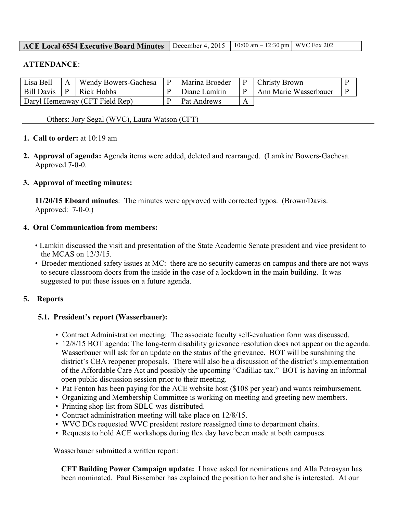| <b>ACE Local 6554 Executive Board Minutes</b> December 4, 2015   10:00 am $-$ 12:30 pm   WVC Fox 202 |  |  |  |
|------------------------------------------------------------------------------------------------------|--|--|--|
|------------------------------------------------------------------------------------------------------|--|--|--|

#### **ATTENDANCE**:

| Lisa Bell                      |              | Wendy Bowers-Gachesa | <b>Marina Broeder</b> | <b>Christy Brown</b>  |  |
|--------------------------------|--------------|----------------------|-----------------------|-----------------------|--|
| <b>Bill Davis</b>              | $\mathsf{P}$ | Rick Hobbs           | Diane Lamkin          | Ann Marie Wasserbauer |  |
| Daryl Hemenway (CFT Field Rep) |              | <b>Pat Andrews</b>   |                       |                       |  |

Others: Jory Segal (WVC), Laura Watson (CFT)

#### **1. Call to order:** at 10:19 am

**2. Approval of agenda:** Agenda items were added, deleted and rearranged. (Lamkin/ Bowers-Gachesa. Approved 7-0-0.

#### **3. Approval of meeting minutes:**

**11/20/15 Eboard minutes**: The minutes were approved with corrected typos. (Brown/Davis. Approved: 7-0-0.)

#### **4. Oral Communication from members:**

- Lamkin discussed the visit and presentation of the State Academic Senate president and vice president to the MCAS on 12/3/15.
- Broeder mentioned safety issues at MC: there are no security cameras on campus and there are not ways to secure classroom doors from the inside in the case of a lockdown in the main building. It was suggested to put these issues on a future agenda.

#### **5. Reports**

#### **5.1. President's report (Wasserbauer):**

- Contract Administration meeting: The associate faculty self-evaluation form was discussed.
- 12/8/15 BOT agenda: The long-term disability grievance resolution does not appear on the agenda. Wasserbauer will ask for an update on the status of the grievance. BOT will be sunshining the district's CBA reopener proposals. There will also be a discussion of the district's implementation of the Affordable Care Act and possibly the upcoming "Cadillac tax." BOT is having an informal open public discussion session prior to their meeting.
- Pat Fenton has been paying for the ACE website host (\$108 per year) and wants reimbursement.
- Organizing and Membership Committee is working on meeting and greeting new members.
- Printing shop list from SBLC was distributed.
- Contract administration meeting will take place on 12/8/15.
- WVC DCs requested WVC president restore reassigned time to department chairs.
- Requests to hold ACE workshops during flex day have been made at both campuses.

Wasserbauer submitted a written report:

**CFT Building Power Campaign update:** I have asked for nominations and Alla Petrosyan has been nominated. Paul Bissember has explained the position to her and she is interested. At our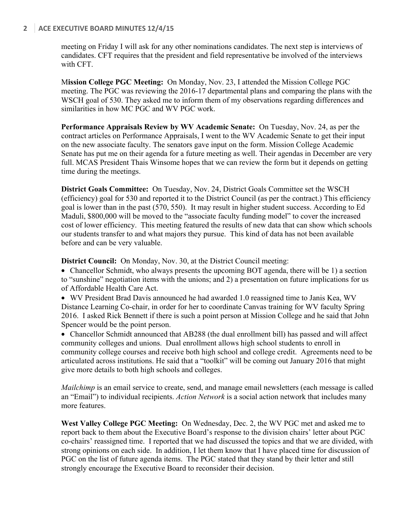### **2** ACE EXECUTIVE BOARD MINUTES 12/4/15

meeting on Friday I will ask for any other nominations candidates. The next step is interviews of candidates. CFT requires that the president and field representative be involved of the interviews with CFT.

M**ission College PGC Meeting:** On Monday, Nov. 23, I attended the Mission College PGC meeting. The PGC was reviewing the 2016-17 departmental plans and comparing the plans with the WSCH goal of 530. They asked me to inform them of my observations regarding differences and similarities in how MC PGC and WV PGC work.

**Performance Appraisals Review by WV Academic Senate:** On Tuesday, Nov. 24, as per the contract articles on Performance Appraisals, I went to the WV Academic Senate to get their input on the new associate faculty. The senators gave input on the form. Mission College Academic Senate has put me on their agenda for a future meeting as well. Their agendas in December are very full. MCAS President Thais Winsome hopes that we can review the form but it depends on getting time during the meetings.

**District Goals Committee:** On Tuesday, Nov. 24, District Goals Committee set the WSCH (efficiency) goal for 530 and reported it to the District Council (as per the contract.) This efficiency goal is lower than in the past (570, 550). It may result in higher student success. According to Ed Maduli, \$800,000 will be moved to the "associate faculty funding model" to cover the increased cost of lower efficiency. This meeting featured the results of new data that can show which schools our students transfer to and what majors they pursue. This kind of data has not been available before and can be very valuable.

**District Council:** On Monday, Nov. 30, at the District Council meeting:

• Chancellor Schmidt, who always presents the upcoming BOT agenda, there will be 1) a section to "sunshine" negotiation items with the unions; and 2) a presentation on future implications for us of Affordable Health Care Act.

• WV President Brad Davis announced he had awarded 1.0 reassigned time to Janis Kea, WV Distance Learning Co-chair, in order for her to coordinate Canvas training for WV faculty Spring 2016. I asked Rick Bennett if there is such a point person at Mission College and he said that John Spencer would be the point person.

• Chancellor Schmidt announced that AB288 (the dual enrollment bill) has passed and will affect community colleges and unions. Dual enrollment allows high school students to enroll in community college courses and receive both high school and college credit. Agreements need to be articulated across institutions. He said that a "toolkit" will be coming out January 2016 that might give more details to both high schools and colleges.

*Mailchimp* is an email service to create, send, and manage email newsletters (each message is called an "Email") to individual recipients. *Action Network* is a social action network that includes many more features.

**West Valley College PGC Meeting:** On Wednesday, Dec. 2, the WV PGC met and asked me to report back to them about the Executive Board's response to the division chairs' letter about PGC co-chairs' reassigned time. I reported that we had discussed the topics and that we are divided, with strong opinions on each side. In addition, I let them know that I have placed time for discussion of PGC on the list of future agenda items. The PGC stated that they stand by their letter and still strongly encourage the Executive Board to reconsider their decision.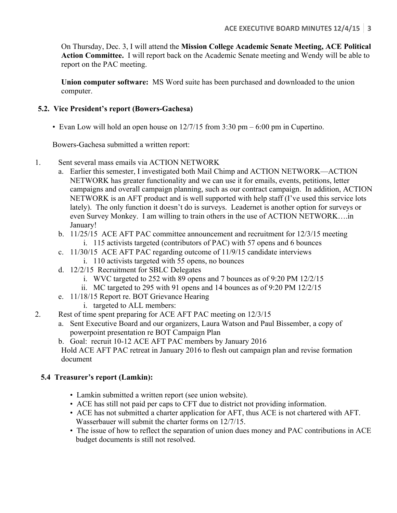On Thursday, Dec. 3, I will attend the **Mission College Academic Senate Meeting, ACE Political Action Committee.** I will report back on the Academic Senate meeting and Wendy will be able to report on the PAC meeting.

**Union computer software:** MS Word suite has been purchased and downloaded to the union computer.

### **5.2. Vice President's report (Bowers-Gachesa)**

• Evan Low will hold an open house on 12/7/15 from 3:30 pm – 6:00 pm in Cupertino.

Bowers-Gachesa submitted a written report:

- 1. Sent several mass emails via ACTION NETWORK
	- a. Earlier this semester, I investigated both Mail Chimp and ACTION NETWORK—ACTION NETWORK has greater functionality and we can use it for emails, events, petitions, letter campaigns and overall campaign planning, such as our contract campaign. In addition, ACTION NETWORK is an AFT product and is well supported with help staff (I've used this service lots lately). The only function it doesn't do is surveys. Leadernet is another option for surveys or even Survey Monkey. I am willing to train others in the use of ACTION NETWORK….in January!
	- b. 11/25/15 ACE AFT PAC committee announcement and recruitment for 12/3/15 meeting i. 115 activists targeted (contributors of PAC) with 57 opens and 6 bounces
	- c. 11/30/15 ACE AFT PAC regarding outcome of 11/9/15 candidate interviews
		- i. 110 activists targeted with 55 opens, no bounces
	- d. 12/2/15 Recruitment for SBLC Delegates
		- i. WVC targeted to 252 with 89 opens and 7 bounces as of 9:20 PM 12/2/15
		- ii. MC targeted to 295 with 91 opens and 14 bounces as of 9:20 PM 12/2/15
	- e. 11/18/15 Report re. BOT Grievance Hearing
		- i. targeted to ALL members:
- 2. Rest of time spent preparing for ACE AFT PAC meeting on 12/3/15
	- a. Sent Executive Board and our organizers, Laura Watson and Paul Bissember, a copy of powerpoint presentation re BOT Campaign Plan
	- b. Goal: recruit 10-12 ACE AFT PAC members by January 2016

Hold ACE AFT PAC retreat in January 2016 to flesh out campaign plan and revise formation document

## **5.4 Treasurer's report (Lamkin):**

- Lamkin submitted a written report (see union website).
- ACE has still not paid per caps to CFT due to district not providing information.
- ACE has not submitted a charter application for AFT, thus ACE is not chartered with AFT. Wasserbauer will submit the charter forms on 12/7/15.
- The issue of how to reflect the separation of union dues money and PAC contributions in ACE budget documents is still not resolved.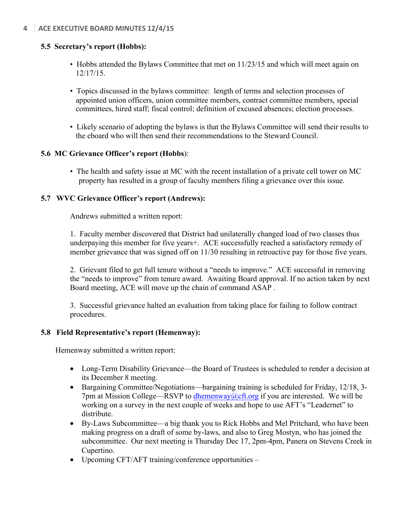# **5.5 Secretary's report (Hobbs):**

- Hobbs attended the Bylaws Committee that met on 11/23/15 and which will meet again on 12/17/15.
- Topics discussed in the bylaws committee: length of terms and selection processes of appointed union officers, union committee members, contract committee members, special committees, hired staff; fiscal control; definition of excused absences; election processes.
- Likely scenario of adopting the bylaws is that the Bylaws Committee will send their results to the eboard who will then send their recommendations to the Steward Council.

## **5.6 MC Grievance Officer's report (Hobbs**):

• The health and safety issue at MC with the recent installation of a private cell tower on MC property has resulted in a group of faculty members filing a grievance over this issue.

# **5.7 WVC Grievance Officer's report (Andrews):**

Andrews submitted a written report:

1. Faculty member discovered that District had unilaterally changed load of two classes thus underpaying this member for five years+. ACE successfully reached a satisfactory remedy of member grievance that was signed off on 11/30 resulting in retroactive pay for those five years.

2. Grievant filed to get full tenure without a "needs to improve." ACE successful in removing the "needs to improve" from tenure award. Awaiting Board approval. If no action taken by next Board meeting, ACE will move up the chain of command ASAP .

3. Successful grievance halted an evaluation from taking place for failing to follow contract procedures.

## **5.8 Field Representative's report (Hemenway):**

Hemenway submitted a written report:

- Long-Term Disability Grievance—the Board of Trustees is scheduled to render a decision at its December 8 meeting.
- Bargaining Committee/Negotiations—bargaining training is scheduled for Friday, 12/18, 3- 7pm at Mission College—RSVP to dhemenway@cft.org if you are interested. We will be working on a survey in the next couple of weeks and hope to use AFT's "Leadernet" to distribute.
- By-Laws Subcommittee—a big thank you to Rick Hobbs and Mel Pritchard, who have been making progress on a draft of some by-laws, and also to Greg Mostyn, who has joined the subcommittee. Our next meeting is Thursday Dec 17, 2pm-4pm, Panera on Stevens Creek in Cupertino.
- Upcoming CFT/AFT training/conference opportunities –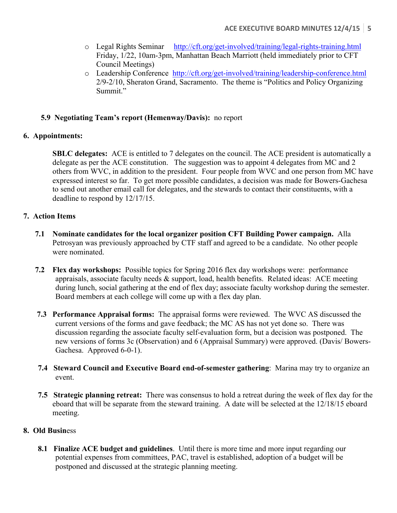- o Legal Rights Seminar http://cft.org/get-involved/training/legal-rights-training.html Friday, 1/22, 10am-3pm, Manhattan Beach Marriott (held immediately prior to CFT Council Meetings)
- o Leadership Conference http://cft.org/get-involved/training/leadership-conference.html 2/9-2/10, Sheraton Grand, Sacramento. The theme is "Politics and Policy Organizing Summit."

### **5.9 Negotiating Team's report (Hemenway/Davis):** no report

### **6. Appointments:**

**SBLC delegates:** ACE is entitled to 7 delegates on the council. The ACE president is automatically a delegate as per the ACE constitution. The suggestion was to appoint 4 delegates from MC and 2 others from WVC, in addition to the president. Four people from WVC and one person from MC have expressed interest so far. To get more possible candidates, a decision was made for Bowers-Gachesa to send out another email call for delegates, and the stewards to contact their constituents, with a deadline to respond by 12/17/15.

### **7. Action Items**

- **7.1 Nominate candidates for the local organizer position CFT Building Power campaign.** Alla Petrosyan was previously approached by CTF staff and agreed to be a candidate. No other people were nominated.
- **7.2 Flex day workshops:** Possible topics for Spring 2016 flex day workshops were: performance appraisals, associate faculty needs & support, load, health benefits. Related ideas: ACE meeting during lunch, social gathering at the end of flex day; associate faculty workshop during the semester. Board members at each college will come up with a flex day plan.
- **7.3 Performance Appraisal forms:** The appraisal forms were reviewed. The WVC AS discussed the current versions of the forms and gave feedback; the MC AS has not yet done so. There was discussion regarding the associate faculty self-evaluation form, but a decision was postponed. The new versions of forms 3c (Observation) and 6 (Appraisal Summary) were approved. (Davis/ Bowers-Gachesa. Approved 6-0-1).
- **7.4 Steward Council and Executive Board end-of-semester gathering**: Marina may try to organize an event.
- **7.5 Strategic planning retreat:** There was consensus to hold a retreat during the week of flex day for the eboard that will be separate from the steward training. A date will be selected at the 12/18/15 eboard meeting.

### **8. Old Busin**ess

**8.1 Finalize ACE budget and guidelines**. Until there is more time and more input regarding our potential expenses from committees, PAC, travel is established, adoption of a budget will be postponed and discussed at the strategic planning meeting.